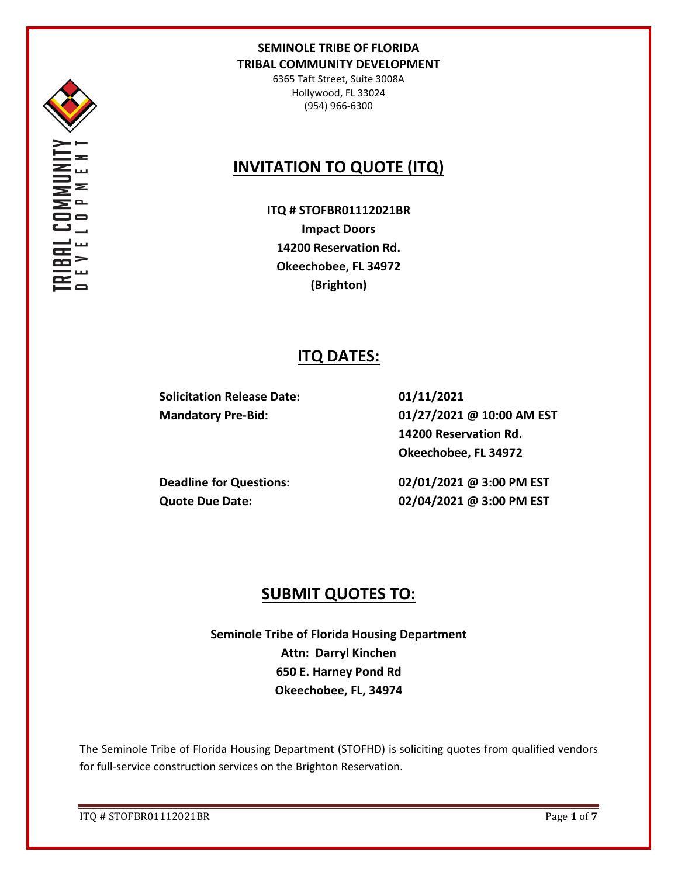

6365 Taft Street, Suite 3008A Hollywood, FL 33024 (954) 966-6300

## **INVITATION TO QUOTE (ITQ)**

**ITQ # STOFBR01112021BR Impact Doors 14200 Reservation Rd. Okeechobee, FL 34972 (Brighton)**

## **ITQ DATES:**

**Solicitation Release Date: 01/11/2021**

**Mandatory Pre-Bid: 01/27/2021 @ 10:00 AM EST 14200 Reservation Rd. Okeechobee, FL 34972**

**Deadline for Questions: 02/01/2021 @ 3:00 PM EST Quote Due Date: 02/04/2021 @ 3:00 PM EST**

## **SUBMIT QUOTES TO:**

**Seminole Tribe of Florida Housing Department Attn: Darryl Kinchen 650 E. Harney Pond Rd Okeechobee, FL, 34974**

The Seminole Tribe of Florida Housing Department (STOFHD) is soliciting quotes from qualified vendors for full-service construction services on the Brighton Reservation.

ITQ # STOFBR01112021BR Page **1** of **7**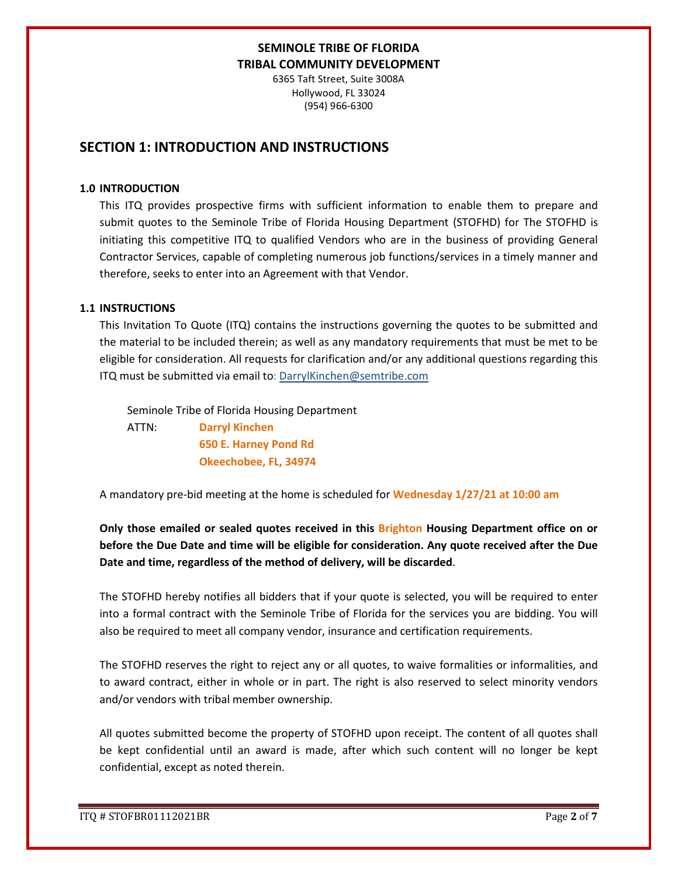6365 Taft Street, Suite 3008A Hollywood, FL 33024 (954) 966-6300

## **SECTION 1: INTRODUCTION AND INSTRUCTIONS**

### **1.0 INTRODUCTION**

This ITQ provides prospective firms with sufficient information to enable them to prepare and submit quotes to the Seminole Tribe of Florida Housing Department (STOFHD) for The STOFHD is initiating this competitive ITQ to qualified Vendors who are in the business of providing General Contractor Services, capable of completing numerous job functions/services in a timely manner and therefore, seeks to enter into an Agreement with that Vendor.

### **1.1 INSTRUCTIONS**

This Invitation To Quote (ITQ) contains the instructions governing the quotes to be submitted and the material to be included therein; as well as any mandatory requirements that must be met to be eligible for consideration. All requests for clarification and/or any additional questions regarding this ITQ must be submitted via email to: DarrylKinchen@semtribe.com

 Seminole Tribe of Florida Housing Department ATTN: **Darryl Kinchen**

 **650 E. Harney Pond Rd Okeechobee, FL, 34974**

A mandatory pre-bid meeting at the home is scheduled for **Wednesday 1/27/21 at 10:00 am**

**Only those emailed or sealed quotes received in this Brighton Housing Department office on or before the Due Date and time will be eligible for consideration. Any quote received after the Due Date and time, regardless of the method of delivery, will be discarded**.

The STOFHD hereby notifies all bidders that if your quote is selected, you will be required to enter into a formal contract with the Seminole Tribe of Florida for the services you are bidding. You will also be required to meet all company vendor, insurance and certification requirements.

The STOFHD reserves the right to reject any or all quotes, to waive formalities or informalities, and to award contract, either in whole or in part. The right is also reserved to select minority vendors and/or vendors with tribal member ownership.

All quotes submitted become the property of STOFHD upon receipt. The content of all quotes shall be kept confidential until an award is made, after which such content will no longer be kept confidential, except as noted therein.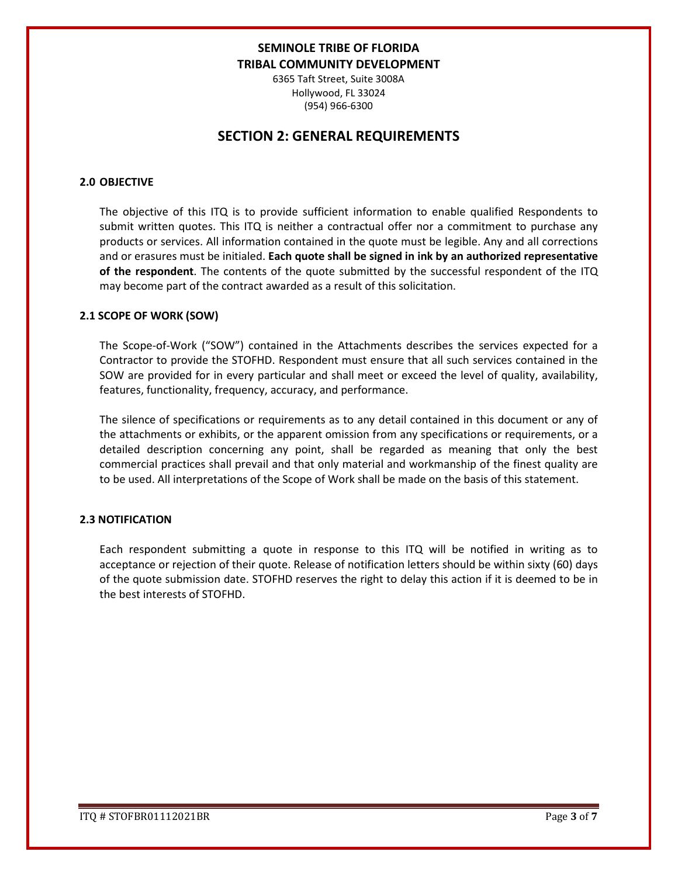6365 Taft Street, Suite 3008A Hollywood, FL 33024 (954) 966-6300

## **SECTION 2: GENERAL REQUIREMENTS**

### **2.0 OBJECTIVE**

The objective of this ITQ is to provide sufficient information to enable qualified Respondents to submit written quotes. This ITQ is neither a contractual offer nor a commitment to purchase any products or services. All information contained in the quote must be legible. Any and all corrections and or erasures must be initialed. **Each quote shall be signed in ink by an authorized representative of the respondent**. The contents of the quote submitted by the successful respondent of the ITQ may become part of the contract awarded as a result of this solicitation.

#### **2.1 SCOPE OF WORK (SOW)**

The Scope-of-Work ("SOW") contained in the Attachments describes the services expected for a Contractor to provide the STOFHD. Respondent must ensure that all such services contained in the SOW are provided for in every particular and shall meet or exceed the level of quality, availability, features, functionality, frequency, accuracy, and performance.

The silence of specifications or requirements as to any detail contained in this document or any of the attachments or exhibits, or the apparent omission from any specifications or requirements, or a detailed description concerning any point, shall be regarded as meaning that only the best commercial practices shall prevail and that only material and workmanship of the finest quality are to be used. All interpretations of the Scope of Work shall be made on the basis of this statement.

#### **2.3 NOTIFICATION**

Each respondent submitting a quote in response to this ITQ will be notified in writing as to acceptance or rejection of their quote. Release of notification letters should be within sixty (60) days of the quote submission date. STOFHD reserves the right to delay this action if it is deemed to be in the best interests of STOFHD.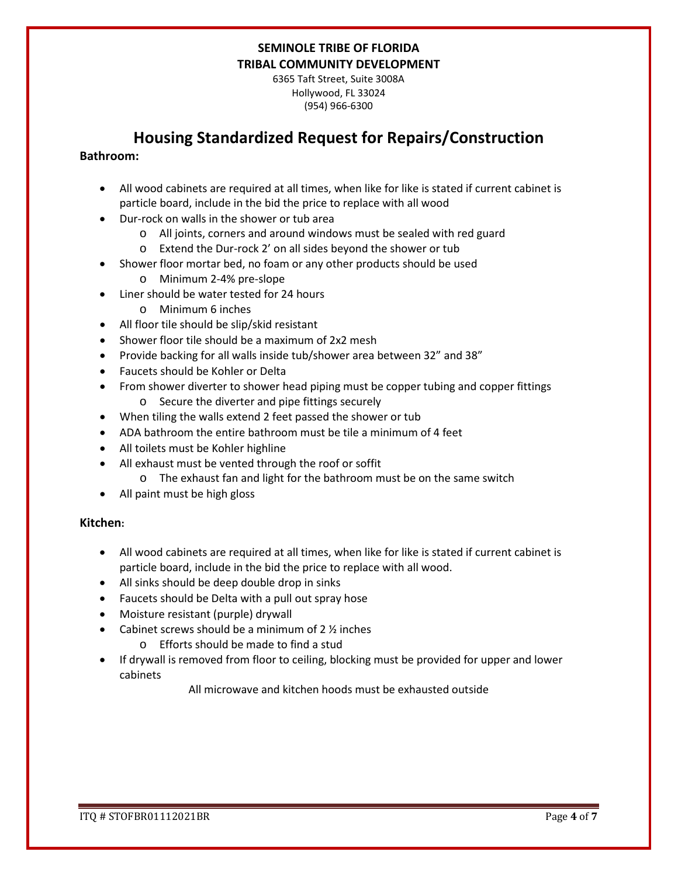6365 Taft Street, Suite 3008A Hollywood, FL 33024 (954) 966-6300

## **Housing Standardized Request for Repairs/Construction**

### **Bathroom:**

- All wood cabinets are required at all times, when like for like is stated if current cabinet is particle board, include in the bid the price to replace with all wood
- Dur-rock on walls in the shower or tub area
	- o All joints, corners and around windows must be sealed with red guard
	- o Extend the Dur-rock 2' on all sides beyond the shower or tub
- Shower floor mortar bed, no foam or any other products should be used
	- o Minimum 2-4% pre-slope
- Liner should be water tested for 24 hours
	- o Minimum 6 inches
- All floor tile should be slip/skid resistant
- Shower floor tile should be a maximum of 2x2 mesh
- Provide backing for all walls inside tub/shower area between 32" and 38"
- Faucets should be Kohler or Delta
- From shower diverter to shower head piping must be copper tubing and copper fittings o Secure the diverter and pipe fittings securely
- When tiling the walls extend 2 feet passed the shower or tub
- ADA bathroom the entire bathroom must be tile a minimum of 4 feet
- All toilets must be Kohler highline
- All exhaust must be vented through the roof or soffit
	- o The exhaust fan and light for the bathroom must be on the same switch
- All paint must be high gloss

### **Kitchen:**

- All wood cabinets are required at all times, when like for like is stated if current cabinet is particle board, include in the bid the price to replace with all wood.
- All sinks should be deep double drop in sinks
- Faucets should be Delta with a pull out spray hose
- Moisture resistant (purple) drywall
- Cabinet screws should be a minimum of  $2 \frac{1}{2}$  inches
	- o Efforts should be made to find a stud
- If drywall is removed from floor to ceiling, blocking must be provided for upper and lower cabinets

All microwave and kitchen hoods must be exhausted outside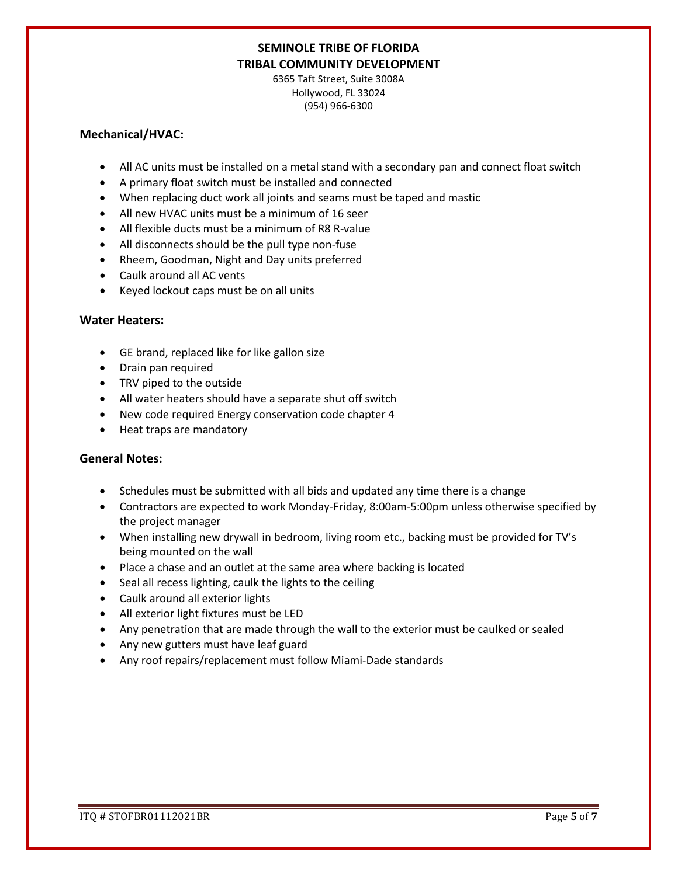6365 Taft Street, Suite 3008A Hollywood, FL 33024 (954) 966-6300

### **Mechanical/HVAC:**

- All AC units must be installed on a metal stand with a secondary pan and connect float switch
- A primary float switch must be installed and connected
- When replacing duct work all joints and seams must be taped and mastic
- All new HVAC units must be a minimum of 16 seer
- All flexible ducts must be a minimum of R8 R-value
- All disconnects should be the pull type non-fuse
- Rheem, Goodman, Night and Day units preferred
- Caulk around all AC vents
- Keyed lockout caps must be on all units

### **Water Heaters:**

- GE brand, replaced like for like gallon size
- Drain pan required
- TRV piped to the outside
- All water heaters should have a separate shut off switch
- New code required Energy conservation code chapter 4
- Heat traps are mandatory

### **General Notes:**

- Schedules must be submitted with all bids and updated any time there is a change
- Contractors are expected to work Monday-Friday, 8:00am-5:00pm unless otherwise specified by the project manager
- When installing new drywall in bedroom, living room etc., backing must be provided for TV's being mounted on the wall
- Place a chase and an outlet at the same area where backing is located
- Seal all recess lighting, caulk the lights to the ceiling
- Caulk around all exterior lights
- All exterior light fixtures must be LED
- Any penetration that are made through the wall to the exterior must be caulked or sealed
- Any new gutters must have leaf guard
- Any roof repairs/replacement must follow Miami-Dade standards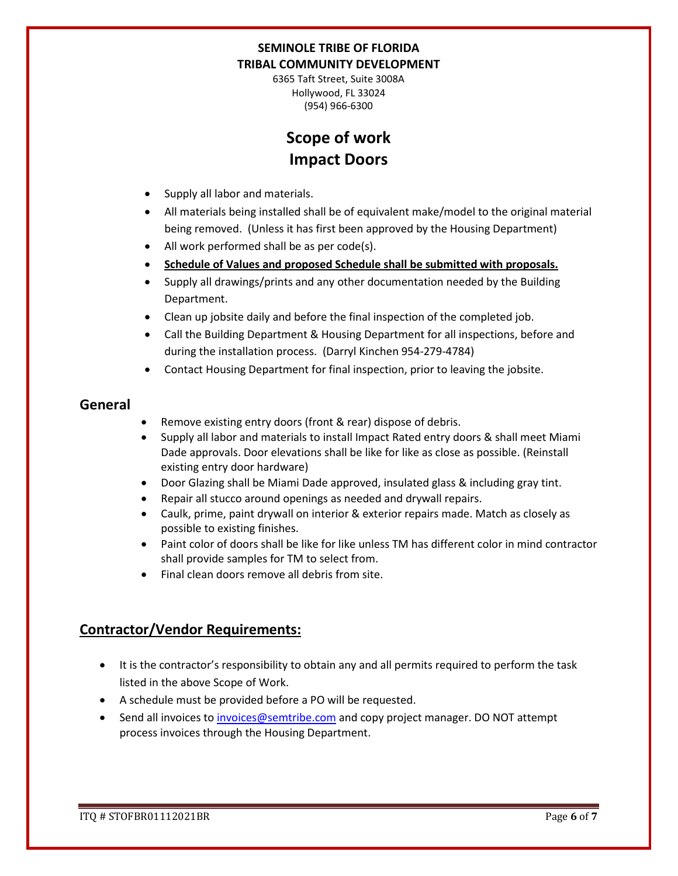6365 Taft Street, Suite 3008A Hollywood, FL 33024 (954) 966-6300

# **Scope of work Impact Doors**

- Supply all labor and materials.
- All materials being installed shall be of equivalent make/model to the original material being removed. (Unless it has first been approved by the Housing Department)
- All work performed shall be as per code(s).
- **Schedule of Values and proposed Schedule shall be submitted with proposals.**
- Supply all drawings/prints and any other documentation needed by the Building Department.
- Clean up jobsite daily and before the final inspection of the completed job.
- Call the Building Department & Housing Department for all inspections, before and during the installation process. (Darryl Kinchen 954-279-4784)
- Contact Housing Department for final inspection, prior to leaving the jobsite.

### **General**

- Remove existing entry doors (front & rear) dispose of debris.
- Supply all labor and materials to install Impact Rated entry doors & shall meet Miami Dade approvals. Door elevations shall be like for like as close as possible. (Reinstall existing entry door hardware)
- Door Glazing shall be Miami Dade approved, insulated glass & including gray tint.
- Repair all stucco around openings as needed and drywall repairs.
- Caulk, prime, paint drywall on interior & exterior repairs made. Match as closely as possible to existing finishes.
- Paint color of doors shall be like for like unless TM has different color in mind contractor shall provide samples for TM to select from.
- Final clean doors remove all debris from site.

## **Contractor/Vendor Requirements:**

- It is the contractor's responsibility to obtain any and all permits required to perform the task listed in the above Scope of Work.
- A schedule must be provided before a PO will be requested.
- Send all invoices to [invoices@semtribe.com](mailto:invoices@semtribe.com) and copy project manager. DO NOT attempt process invoices through the Housing Department.